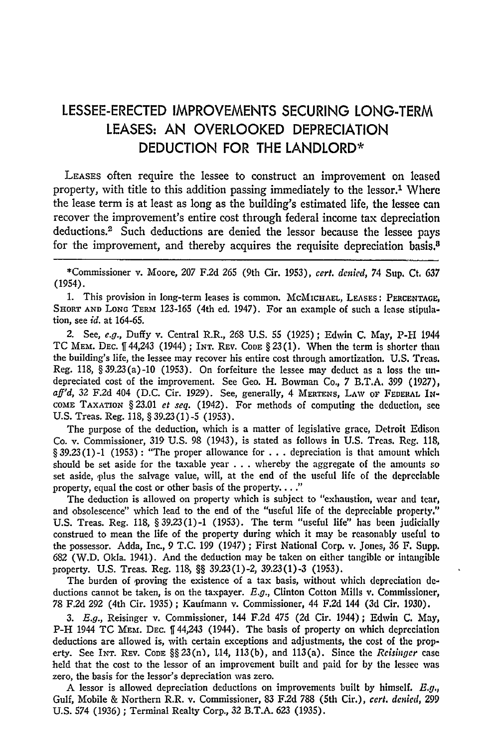# **LESSEE-ERECTED** IMPROVEMENTS **SECURING** LONG-TERM **LEASES: AN** OVERLOOKED **DEPRECIATION DEDUCTION** FOR THE LANDLORD\*

**LEASES** often require the lessee to construct an improvement on leased property, with title to this addition passing immediately to the lessor.<sup>1</sup> Where the lease term is at least as long as the building's estimated life, the lessee can recover the improvement's entire cost through federal income tax depreciation deductions.<sup>2</sup> Such deductions are denied the lessor because the lessee pays for the improvement, and thereby acquires the requisite depreciation basis.<sup>8</sup>

\*Commissioner v. Moore, 207 F.2d 265 (9th Cir. *1953), cert. denied,* 74 Sup. Ct. 637 (1954).

**1.** This provision in long-term leases is common. McMICHAEL, LEAsEs: **PERCENTAGE,** SHORT AND LONG TERM 123-165 (4th ed. 1947). For an example of such a lease stipulation, see *id.* at 164-65.

2. See, *e.g.,* Duffy v. Central R.R., **268 U.S.** 55 (1925); Edwin **C.** May, P-H 1944 TC **MEM.** DEC. 144,243 (1944); **INT. REV. CODE** § 23(1). When the term is shorter than the building's life, the lessee may recover his entire cost through amortization. U.S. Treas. Reg. 118, §39.23(a)-10 (1953). On forfeiture the lessee may deduct as a loss the undepreciated cost of the improvement. See Geo. H. Bowman Co., 7 B.T.A. 399 (1927), *aft'd,* 32 F.2d 404 **(D.C.** Cir. 1929). See, generally, 4 MERTENS, LAW **OF FEDERAL** IN-**COME** TAXATION **§** 23.01 *et seq.* (1942). For methods of computing the deduction, see **U.S.** Treas. Reg. 118, **§ 39.23(1)-5** (1953).

The purpose of the deduction, which is a matter of legislative grace, Detroit Edison Co. v. Commissioner, 319 U.S. 98 (1943), is stated as follows in U.S. Treas. Reg. 118, §39.23(1)-i (1953): "The proper allowance for **. .** . depreciation is that amount which should be set aside for the taxable year **. . .** whereby the aggregate of the amounts so set aside, plus the salvage value, will, at the end of the useful life of the depreciable property, equal the cost or other basis of the property...."

The deduction is allowed on property which is subject to "exhaustion, wear and tear, and obsolescence" which lead to the end of the "useful life of the depreciable property." **U.S.** Treas. Reg. 118, §39.23(1)-1 (1953). The term "useful life" has been judicially construed to mean the life of the property during which it may be reasonably useful to the possessor. Adda, Inc., 9 **T.C.** 199 (1947) ; First National Corp. v. Jones, 36 F. Supp. **682** (W.D. Okla. 1941). And the deduction may be taken on either tangible or intangible property. **U.S.** Treas. Reg. 118, **§§** 39.23(1)-2, 39.23(1)-3 (1953).

The burden of proving the existence of a tax basis, without which depreciation **de**ductions cannot be taken, is on the taxpayer. *E.g.,* Clinton Cotton Mills v. Commissioner, 78 F.2d 292 (4th Cir. 1935) ; Kaufmann v. Commissioner, 44 F.2d 144 (3d Cir. 1930).

*3. E.g.,* Reisinger v. Commissioner, 144 F.2d 475 (2d Cir. 1944); Edwin C. May, P-H 1944 **TC MEm. DEC.** 144,243 (1944). The basis of property on which deprcciation deductions are allowed is, with certain exceptions and adjustments, the cost of the property. See **INT.** REV. **CODE** §§23(n), 1.14, 113(b), and 113(a). Since the *Reisinger* **case** held that the cost to the lessor of an improvement built and paid for by the lessee was zero, the basis for the lessor's depreciation was zero.

**A** lessor is allowed depreciation deductions on improvements built by himself. *E.g.,* Gulf, Mobile & Northern R.R. v. Commissioner, 83 **F.2d 788** (5th Cir.), *cert. denied,* **299** U.S. 574 (1936) ; Terminal Realty Corp., **32** B.T.A. 623 (1935).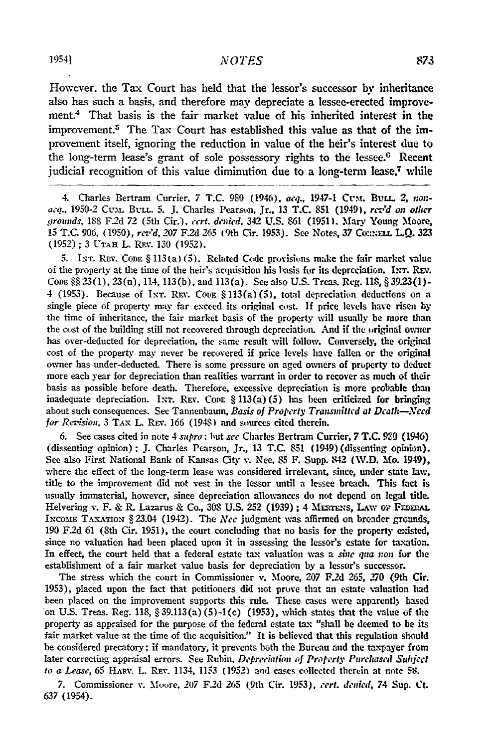#### NOTES

However, the Tax Court has held that the lessor's successor **by** inheritance also has such a basis, and therefore may depreciate a lessee-erected improvement.4 That basis is the fair market value of his inherited interest in the improvement.5 The Tax Court has established this value as that **of** the improvement itself, ignoring the reduction in value of the heir's interest due to the long-term lease's grant of sole possessory rights to the lessee.<sup>6</sup> Recent judicial recognition of this value diminution due to a long-term lease,7 **while**

4. Charles Bertram Currier, 7 T.C. 980 (1946), *acq.*, 1947-1 CUM. BULL. 2, non*acq.,* 1950-2 Cumi. **BLL** 5. J. Charles Pearson, Jr., 13 **T.C. 851** (1949), *rezd on other !7rouuds,* 188 F2d 72 (5th Cir.). *crt. denied,* 342 **U.S. 861 (1951).** Mary Young Moore, **15 T.C. 906, (1950),** *rev'd, 207* **F.2d** *265* 9th Cir. **1953).** See Notes, 37 Co:a . L.Q. **323 (1952); 3 UTAH** L. Rrv. **130 (1952).**

**5.** IxT. **REV.** Cona § **113(a)** (5). Related **Code** provisions make the fair market value of the property at the time of the heir's acquisition his basis for its depreciation. Ixr. Rev. Code §§ 23(1), 23(n), 114, 113(b), and 113(a). See also U.S. Treas. Reg. 118, § 39.23(1) -4 (1953). Because of INT. REV. Come § 113(a) (5), total depreciation deductions on a single piece of property may far excced its original cost. **If** price levels have risen **by** the time of inheritance, the fair market basis of the property will usually **be** more than the cost of the building still not recovered through depreciation. And if the original owner has over-deducted for depreciation, the same result will follow. Conversely, the original cost of the property may never be recovered if price levels have fallen or the original owner has under-deducted. There is some pressure on aged owners of property to deduct more each year for depreciation than realities warrant in order to recover as much of their basis as possible before death. Therefore, excessive depreciation is more probable than inadequate depreciation. INT. REV. Cone § 113(a) (5) has been criticized for bringing about such consequences. See Tannenbaum, *Basis of Property Transmitted at Death-Need* for *Revision*, 3 TAX L. REV. 166 (1948) and sources cited therein.

**6.** See cases cited in note 4 *supra .* but *see* Charles Bertram Currier, **7 T.C. 9.0** (1946) (dissenting opinion); **J.** Charles Pearson, Jr., **13 T.C. 851** (1949) (dissenting opinion). See also First National Bank of Kansas City v. **Nee, 85** F. Supp. 842 **(W.D.** Mo. 1949), where the effect of the long-term lease **was** considered irrelevant, since, under state law, title to the improvement did not vest in the lessor until a lessee breach. This fact is usually immaterial, however, since depreciation allowances do not depend on legal title. Helvering v. F. & R. Lazarus & Co., 308 U.S. 252 (1939); 4 MERTENS, LAW OF FEDERAL IxcomE **TAXATION** § 23.04 (1942). The *Nee* judgment **was** affirmed **on** broader grounds, **190 F.2d** 61 (8th Cir. **1951),** the court concluding that no basis for the property existed, since no valuation had been placed upon it in assessing the lessor's estate for taxation. In effect, the court held that a federal estate tax valuation %vas a *sne qua non* for the establishment of a fair market value basis for depreciation **by** a lessor's successor.

The stress which the court in Commissioner v. Moore, **207** F.2d 265, 270 (9th Cir. **1953),** placed upon the fact that petitioners did not prove that an estate valuation had been placed on the improvement supports this rule. These cases were apparently based on **U.S.** Treas. Reg. **118,** § **39.113(a) (5)-1(c) (1953),** which states that the value **of** the property as appraised for the purpose of the federal estate tax "shall be deemed to **be** its fair market value at the time of the acquisition." It is believed that this regulation should be considered precatory; if mandatory, it prevents both the Bureau and the taxpayer from later correcting appraisal errors. See Rubin, *Depreciation of Property Purchased Subject to a Lease,* **65 HAR,.** L. **REv.** 1134, 1153 **(1952)** and cases collected thertin at note **58.**

*7.* Commissioner v. Moore, **207 F.2d 265** (9th Cir. **1953),** *cert. denied, 74* Sup. Ct. **637** (1954).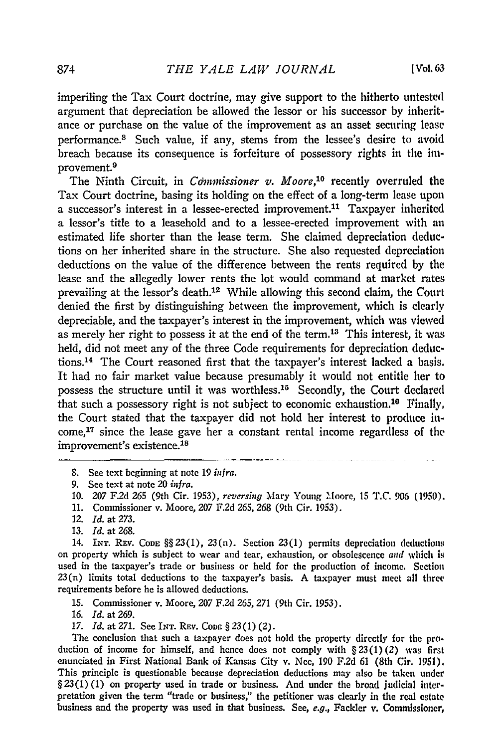imperiling the Tax Court doctrine, may give support to the hitherto untested argument that depreciation be allowed the lessor or his successor by inheritance or purchase on the value of the improvement as an asset securing lease performance.<sup>8</sup> Such value, if any, stems from the lessee's desire to avoid breach because its consequence is forfeiture of possessory rights in the improvement. <sup>9</sup>

The Ninth Circuit, in *Commissioner v. Moore*,<sup>10</sup> recently overruled the Tax Court doctrine, basing its holding on the effect of a long-term lease upon a successor's interest in a lessee-erected improvement.<sup>11</sup> Taxpayer inherited a lessor's title to a leasehold and to a lessee-erected improvement with an estimated life shorter than the lease term. She claimed depreciation deductions on her inherited share in the structure. She also requested depreciation deductions on the value of the difference between the rents required by the lease and the allegedly lower rents the lot would command at market rates prevailing at the lessor's death. 12 While allowing this second claim, the Court denied the first by distinguishing between the improvement, which is clearly depreciable, and the taxpayer's interest in the improvement, which was viewed as merely her right to possess it at the end of the term.<sup>13</sup> This interest, it was held, did not meet any of the three Code requirements for depreciation deductions.14 The Court reasoned first that the taxpayer's interest lacked a basis. It had no fair market value because presumably it would not entitle her to possess the structure until it was worthless.<sup>15</sup> Secondly, the Court declared that such a possessory right is not subject to economic exhaustion.<sup>16</sup> Finally, the Court stated that the taxpayer did not hold her interest to produce in $come<sup>17</sup>$  since the lease gave her a constant rental income regardless of the improvement's existence.<sup>18</sup>

14. **INT. REV. CODE** §§23(l), 23(n). Section 23(1) permits depreciation deductions on property which is subject to wear and tear, exhaustion, or obsolescence *and* which *is* used in the taxpayer's trade or business or held for the production of income. Section  $23(n)$  limits total deductions to the taxpayer's basis. A taxpayer must meet all three requirements before he is allowed deductions.

**15.** Commissioner v. Moore, **207 F.2d 265, 271** (9th Cir. 1953).

**16.** *Id.* at **269.**

**17.** *Id.* at 271. See **INT. REv. CODE** §23(1) (2).

The conclusion that such a taxpayer does not hold the property directly for the production of income for himself, and hence does not comply with § 23(1) *(2)* was first enunciated in First National Bank of Kansas City v. Nee, 190 F.2d 61 (8th Cir. 1951). This principle is questionable because depreciation deductions may also be taken under **§** 23(1) (1) on property used in trade or business. And under the broad judicial interpretation given the term "trade or business," the petitioner was clearly in the real estate business and the property was used in that business. See, *e.g.,* Fackler v. Commissioner,

<sup>8.</sup> See text beginning at note 19 *infra.*

<sup>9.</sup> See text at note 20 *infra.*

<sup>10. 207</sup> F.2d 265 (9th Cir. 1953), *reversing* Mary Young Moore, 15 T.C. 906 (1950).

<sup>11.</sup> Commissioner v. Moore, 207 F.2d 265, 268 (9th Cir. 1953).

<sup>12.</sup> *Id.* at 273.

<sup>13.</sup> *Id.* at 268.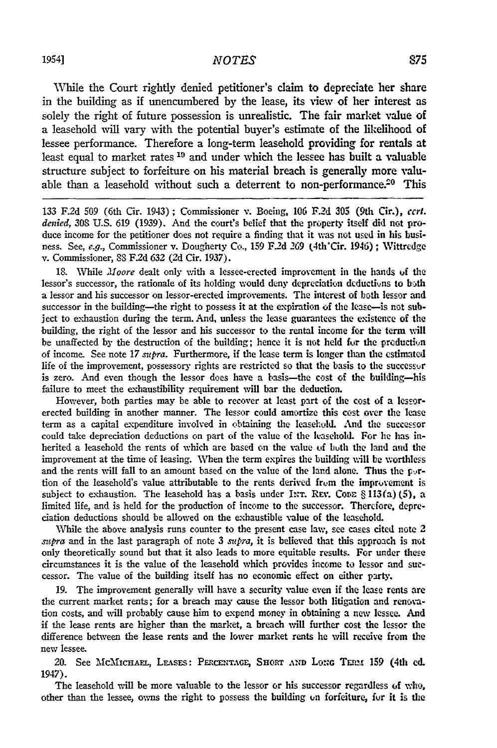While the Court rightly denied petitioner's claim to depreciate her share in the building as if unencumbered by the lease, its view of her interest as solely the right of future possession is unrealistic. The fair market value of a leasehold will vary with the potential buyer's estimate of the likelihood of lessee performance. Therefore a long-term leasehold providing for rentals at least equal to market rates **19** and under which the lessee has built a valuable structure subject to forfeiture on his material breach is generally more valuable than a leasehold without such a deterrent to non-performance.<sup>20</sup> This

133 F.2d **509** (6th Cir. 1943) ; Commissioner v. Boeing, **106** F.2d 305 (9th Cir.), *cert. denied,* 308 U.S. 619 (1939). And the court's belief that the property itself did not produce income for the petitioner does not require a finding that it was not used in his business. See, *e.g.,* Commissioner v. Dougherty Co., 159 F.2d 269 (4th'Cir. 1946); Wittredge v. Commissioner, 88 F.2d 632 (2d Cir. 1937).

18. While *Moore* dealt only with a lessee-erected improvement in the hands of the lessor's successor, the rationale of its holding would deny depreciation deductions to both a lessor and his successor on lessor-erected improvements. The interest of both lessor and successor in the building—the right to possess it at the expiration of the lease—is not subject to exhaustion during the term. And, unless the lease guarantees the existence of the building, the right of the lessor and his successor to the rental income for the term will be unaffected **by** the destruction of the building; hence it is not held fur the prcductin of income. See note 17 *subra*. Furthermore, if the lease term is longer than the estimated life of the improvement, possessory rights are restricted so that the basis to the successur is zero. And even though the lessor does have a basis-the cost of the building-his failure to meet the exhaustibility requirement will bar the deduction.

However, both parties may be able to recover at least part of the cost of a lessorerected building in another manner. The lessor could amortize this cost over the lease term as a capital expenditure involved in obtaining the leasehold. And the successor could take depreciation deductions on part of the value of the leasehold. For he has inherited a leasehold the rents of which are based **on** the value **of** buth the land and the improvement at the time of leasing. When the term expires the building will be worthless and the rents will fall to an amount based on the value of the land alone. Thus the p<sub>2</sub>rtion of the leasehold's value attributable to the rents derived from the improvement is subject to exhaustion. The leasehold has a basis under INT. REV. Cone § 113(a) (5), a limited life, and is held for the production of income to the successor. Thercfore, depreciation deductions should be allowed on the exhaustible value of the leasehold.

While the above analysis runs counter to the present case law, see cases cited note 2 *supra* and in the last paragraph of note 3 *sn pra,* it is believed that this approach is not only theoretically sound but that it also leads to more equitable results. For under these circumstances it is the value of the leasehold which provides income to lessor and successor. The value of the building itself has no economic effect on either party.

19. The improvement generally will have a security value even if the lease rents are the current market rents; for a breach may cause the lessor both litigation and renovation costs, and will probably cause him to expend money in obtaining a new lessee. And if the lease rents are higher than the market, a breach will further cost the lessor the difference between the lease rents and the lower market rents he will receive from the new lessee.

20. See McMICHAEL, LEASES: PERCENTAGE, SHORT AND LONG TERM 159 (4th ed. 1947).

The leasehold will be more valuable to the lessor or his successor regardless of who, other than the lessee, owns the right to possess the building on forfeiture, fur it is the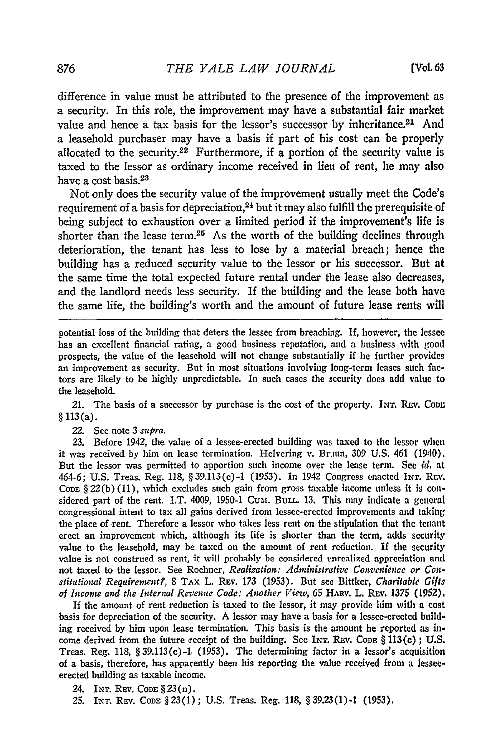difference in value must be attributed to the presence of the improvement as a security. In this role, the improvement may have a substantial fair market value and hence a tax basis for the lessor's successor by inheritance.<sup>21</sup> And a leasehold purchaser may have a basis if part of his cost can be properly allocated to the security.<sup>22</sup> Furthermore, if a portion of the security value is taxed to the lessor as ordinary income received in lieu of rent, he may also have a cost basis.<sup>23</sup>

Not only does the security value of the improvement usually meet the Code's requirement of a basis for depreciation, $24$  but it may also fulfill the prerequisite of being subject to exhaustion over a limited period if the improvement's life is shorter than the lease term.<sup>25</sup> As the worth of the building declines through deterioration, the tenant has less to lose by a material breach; hence the building has a reduced security value to the lessor or his successor. But at the same time the total expected future rental under the lease also decreases, and the landlord needs less security. If the building and the lease both have the same life, the building's worth and the amount of future lease rents will

potential loss of the building that deters the lessee from breaching. If, however, the lessee has an excellent financial rating, a good business reputation, and a business with good prospects, the value of the leasehold will not change substantially if he further provides an improvement as security. But in most situations involving long-term leases such factors are likely to be highly unpredictable. In such cases the security does add value to the leasehold.

21. The basis of a successor by purchase is the cost of the property. **INT.** REv. CoDm § 113(a).

22. See note 3 supra.

23. Before 1942, the value of a lessee-erected building was taxed to the lessor when it was received by him on lease termination. Helvering v. Bruun, 309 U.S. 461 (1940). But the lessor was permitted to apportion such income over the lease term. See id. at 464-6; U.S. Treas. Reg. 118, §39.113(c)-i (1953). In 1942 Congress enacted INr. Ruv. CODE  $\S 22(b)(11)$ , which excludes such gain from gross taxable income unless it is considered part of the rent. I.T. 4009, 1950-1 **Cum.** BuLL. 13. This may indicate a general congressional intent to tax all gains derived from lessee-erected improvements and taking the place of rent. Therefore a lessor who takes less rent on the stipulation that the tenant erect an improvement which, although its life is shorter than the term, adds security value to the leasehold, may be taxed on the amount of rent reduction. If the security value is not construed as rent, it will probably be considered unrealized appreciation and not taxed to the lessor. See Roehner, *Realization: Administrative Convenience or Constitutional Requirerient?,* 8 TAx L. Rxv. 173 (1.953). But see Bittker, *Charitable Gilts of Income and the Internal Revenue Code: Another View,* 65 HARv. L. REv. 1375 (1952).

If the amount of rent reduction is taxed to the lessor, it may provide him with a cost basis for depreciation of the security. A lessor may have a basis for a lessee-erected building received by him upon lease termination. This basis is the amount he reported as income derived from the future -receipt of the building. See INT. REv. **CODE** § 113(c) **;** U.S. Treas. Reg. 118, §39.113(c)-1. (1953). The determining factor in a lessor's acquisition **of** a basis, therefore, has apparently been his reporting the value received from a lesseeerected building as taxable income.

24. **INr.** Ray. **CODE** §23(n).

25. INT. Rrv. **CODE** §23(1); U.S. Treas. Reg. 118, § 39.23(1)-1 (1953).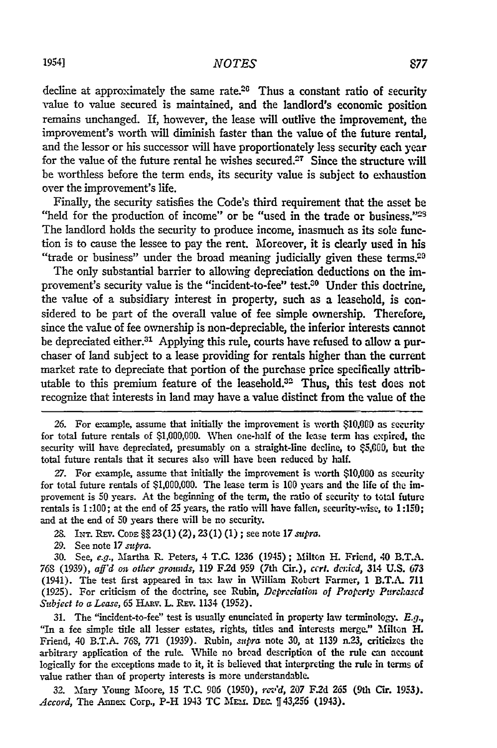### *NOTES*

decline at approximately the same rate. $26$  Thus a constant ratio of security value to value secured is maintained, and the landlord's economic position remains unchanged. If, however, the lease will outlive the improvement, the improvement's worth will diminish faster than the value of the future rental, and the lessor or his successor will have proportionately less security each year for the value of the future rental he wishes secured.<sup>27</sup> Since the structure will be worthless before the term ends, its security value is subject to exhaustion over the improvement's life.

Finally, the security satisfies the Code's third requirement that the asset be "held for the production of income" or be "used in the trade or business." $29$ The landlord holds the security to produce income, inasmuch as its sole function is to cause the lessee to pay the rent. Moreover, it is clearly used in his "trade or business" under the broad meaning judicially given these terms.<sup>29</sup>

The only substantial barrier to allowing depreciation deductions on the improvement's security value is the "incident-to-fee" test. $30$  Under this doctrine, the value of a subsidiary interest in property, such as a leasehold, is considered to be part of the overall value of fee simple ownership. Therefore, since the value of fee ownership is non-depreciable, the inferior interests cannot be depreciated either.<sup>31</sup> Applying this rule, courts have refused to allow a purchaser of land subject to a lease providing for rentals higher than the current market rate to depreciate that portion of the purchase price specifically attributable to this premium feature of the leasehold.32 Thus, this test does not recognize that interests in land may have a value distinct from the value of the

26. For example, assume that initially the improvement is worth \$10,000 as security for total future rentals of **\$1,000,000.** When one-half of the lease term has expired, the security will have depreciated, presumably on a straight-line decline, to \$5,000, but the total future rentals that it secures also will have been reduced **by** half.

*27.* For example, assume that initially the improvement is worth **\$10,000** as security for total future rentals of **\$1,000,000.** The lease term is **100** years and the life of the improvement is **50** years. At the beginning of the term, the ratio of security to **total** future rentals is **1:100;** at the end of **25** years, the ratio will have fallen, security-wise, to **1:150;** and at the end of **50** years there will be no security.

*28.* **INT. REv. CoDE §§23(l)** (2), **23(1) (1);** see note *17supra.*

**29.** See note **17** *supra.*

**30.** See, e.g., Martha **R.** Peters, 4 **T.C. 1236** (1945) **;** Milton **I-.** Friend, 40 B.T.A. *76S* **(1939),** *aff'd on other grounds,* **119 F2d 959** (7th Cir.), *cert. dcnicd,* 314 **U.S.** 673 (1941). The test first appeared in tax law in William Robert Farmer, 1 B.T.A. **711 (1925).** For criticism of the doctrine, see Rubin, *Depreciation of Properly Parchascd Subject to a Lease,* **65** HARV. L. **REv.** 1134 **(1952).**

**31.** The "incident-to-fee" test is usually enunciated in property law terminology. *E.g.,* "In a fee simple title all lesser estates, rights, titles and interests merge." Milton H. Friend, 40 B.T.A. 76S, 771 (1939). Rubin, *supra* note **30,** at 1139 n.23, criticizes the arbitrary application of the rule. While no broad description of the rule can account logically for the exceptions made to it, it is believed that interpreting the rule in terms of value rather than of property interests is more understandable.

**32.** Mary Young Moore, **15** T.C. **906 (1950),** *rev'd,* 207 **F.2d** 265 (9th Cir. 1953). Accord, The Annex Corp., P-H 1943 TC MEM. Dec. [43,256 (1943).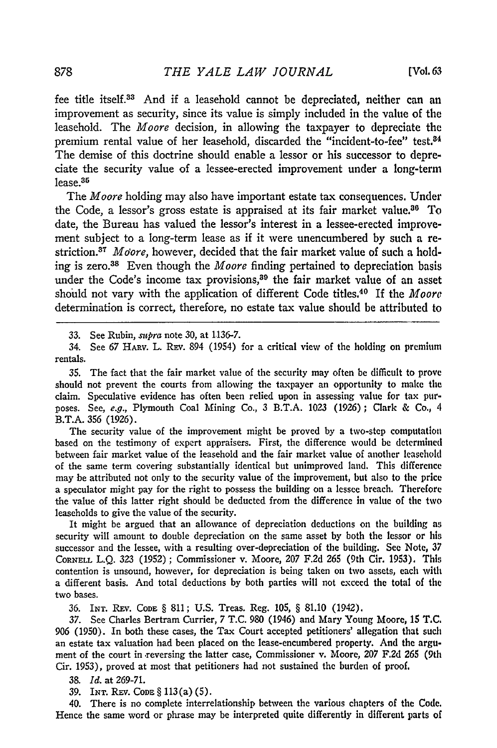fee title itself.33 And if a leasehold cannot be depreciated, neither can an improvement as security, since its value is simply included in the value of the leasehold. The *Moore* decision, in allowing the taxpayer to depreciate the premium rental value of her leasehold, discarded the "incident-to-fee" test.<sup>34</sup> The demise of this doctrine should enable a lessor or his successor to depreciate the security value of a lessee-erected improvement under a long-term lease.35

The *Moore* holding may also have important estate tax consequences. Under the Code, a lessor's gross estate is appraised at its fair market value.<sup>36</sup> To date, the Bureau has valued the lessor's interest in a lessee-erected improvement subject to a long-term lease as if it were unencumbered by such a restriction.<sup>37</sup> Moore, however, decided that the fair market value of such a holding is zero. 38 Even though the *Moore* finding pertained to depreciation basis under the Code's income tax provisions,<sup>89</sup> the fair market value of an asset should not vary with the application of different Code titles. 40 If the *Moore* determination is correct, therefore, no estate tax value should be attributed to

33. See Rubin,  $\text{supra}$  note 30, at 1136-7.

34. See 67 HARV. L. REV. 894 (1954) for a critical view of the holding on premium rentals.

35. The fact that the fair market value of the security may often be difficult to prove should not prevent the courts from allowing the taxpayer an opportunity to make the claim. Speculative evidence has often been relied upon in assessing value for tax purposes. See, e.g., Plymouth Coal Mining Co., 3 B.T.A. 1023 (1926); Clark & **Co.,** 4 B.T.A. **356** (1926).

The security value of the improvement might be proved by a two-step computation based on the testimony of expert appraisers. First, the difference would be determined between fair market value of the leasehold and the fair market value of another leasehold of the same term covering substantially identical but unimproved land. This difference may be attributed not only to the security value of the improvement, but also to the price a speculator might pay for the right to possess the building on a lessee breach. Therefore the value of this latter right should be deducted from the difference in value of the two leaseholds to give the value of the security.

It might be argued that an allowance of depreciation deductions on the building as security will amount to double depreciation on the same asset by both the lessor or his successor and the lessee, with a resulting over-depreciation of the building. **See** Note, 37 **CORNELL** L.Q. 323 (1952) ; Commissioner v. Moore, *207* F.2d 265 (9th Cir. 1953). This contention is unsound, however, for depreciation is being taken on two assets, each with a different basis. And total deductions by both parties will not exceed the total of the two bases.

36. INT. Rxv. **CODE** § 811; U.S. Treas. Reg. 105, § 81.10 (1942).

37. See Charles Bertram Currier, 7 T.C. 980 (1946) and Mary Young Moore, 15 T.C. 906 (1950). In both these cases, the Tax Court accepted petitioners' allegation that such an estate tax valuation had been placed on the lease-encumbered property. And the argument of the court in .reversing the latter case, Commissioner v. Moore, *207* F.2d 265 (9th Cir. 1953), proved at most that petitioners had not sustained the burden of proof.

38. *Id.* at 269-71.

39. INT. Rxv. **CoDE** § 113(a) (5).

40. There is no complete interrelationship between the various chapters of the Code. Hence the same word or phrase may be interpreted quite differently in different parts of